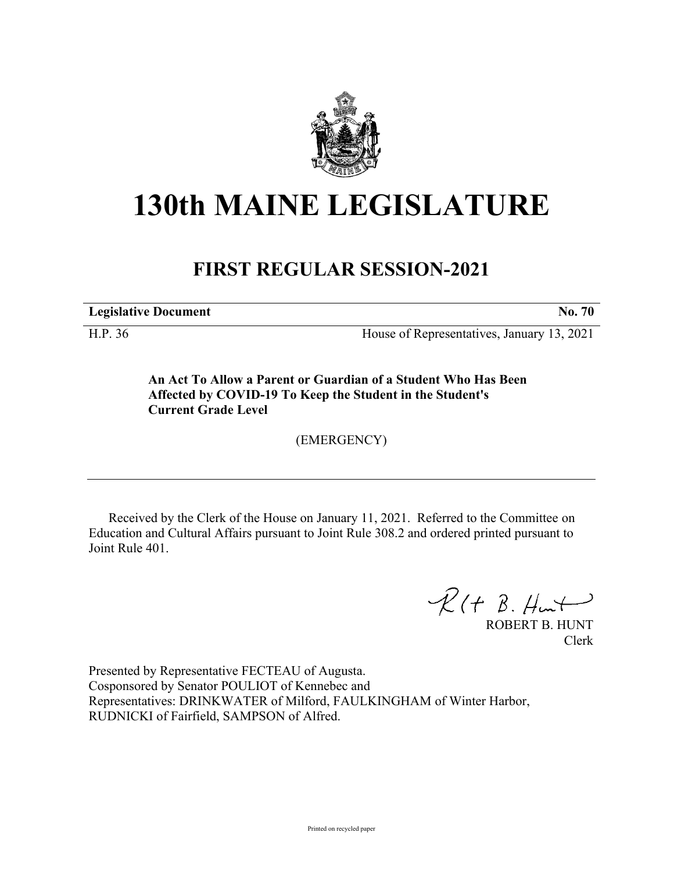

## **130th MAINE LEGISLATURE**

## **FIRST REGULAR SESSION-2021**

**Legislative Document No. 70**

H.P. 36 House of Representatives, January 13, 2021

**An Act To Allow a Parent or Guardian of a Student Who Has Been Affected by COVID-19 To Keep the Student in the Student's Current Grade Level**

(EMERGENCY)

Received by the Clerk of the House on January 11, 2021. Referred to the Committee on Education and Cultural Affairs pursuant to Joint Rule 308.2 and ordered printed pursuant to Joint Rule 401.

 $R(H B. H<sub>ur</sub>)$ 

ROBERT B. HUNT Clerk

Presented by Representative FECTEAU of Augusta. Cosponsored by Senator POULIOT of Kennebec and Representatives: DRINKWATER of Milford, FAULKINGHAM of Winter Harbor, RUDNICKI of Fairfield, SAMPSON of Alfred.